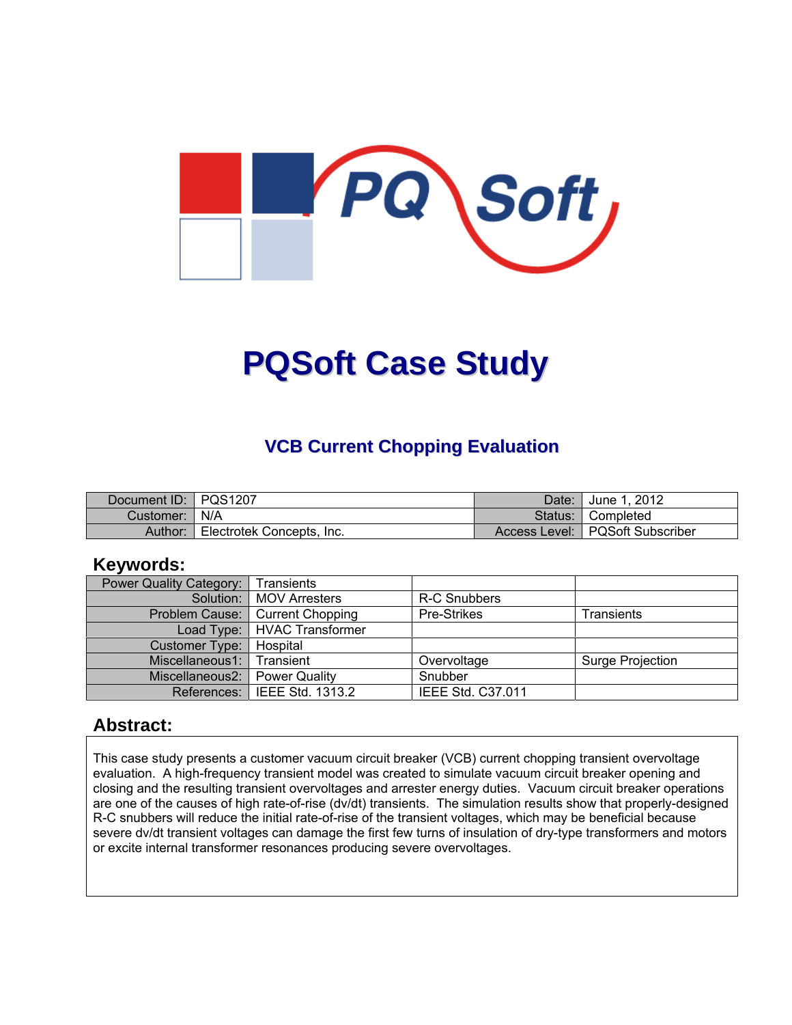

# **PQSoft Case Study**

#### **VCB Current Chopping Evaluation**

| Document ID:   PQS1207 |                           | Date: I | June 1, 2012                      |
|------------------------|---------------------------|---------|-----------------------------------|
| Customer:   N/A        |                           |         | Status: Completed                 |
| Author:                | Electrotek Concepts, Inc. |         | Access Level:   PQSoft Subscriber |

#### **Keywords:**

| <b>Power Quality Category:</b> | Transients                     |                          |                  |
|--------------------------------|--------------------------------|--------------------------|------------------|
|                                | Solution:   MOV Arresters      | R-C Snubbers             |                  |
| Problem Cause:                 | Current Chopping               | Pre-Strikes              | Transients       |
|                                | Load Type:   HVAC Transformer  |                          |                  |
| Customer Type:                 | Hospital                       |                          |                  |
| Miscellaneous1:                | Transient                      | Overvoltage              | Surge Projection |
| Miscellaneous2:                | <b>Power Quality</b>           | Snubber                  |                  |
|                                | References:   IEEE Std. 1313.2 | <b>IEEE Std. C37.011</b> |                  |

#### **Abstract:**

This case study presents a customer vacuum circuit breaker (VCB) current chopping transient overvoltage evaluation. A high-frequency transient model was created to simulate vacuum circuit breaker opening and closing and the resulting transient overvoltages and arrester energy duties. Vacuum circuit breaker operations are one of the causes of high rate-of-rise (dv/dt) transients. The simulation results show that properly-designed R-C snubbers will reduce the initial rate-of-rise of the transient voltages, which may be beneficial because severe dv/dt transient voltages can damage the first few turns of insulation of dry-type transformers and motors or excite internal transformer resonances producing severe overvoltages.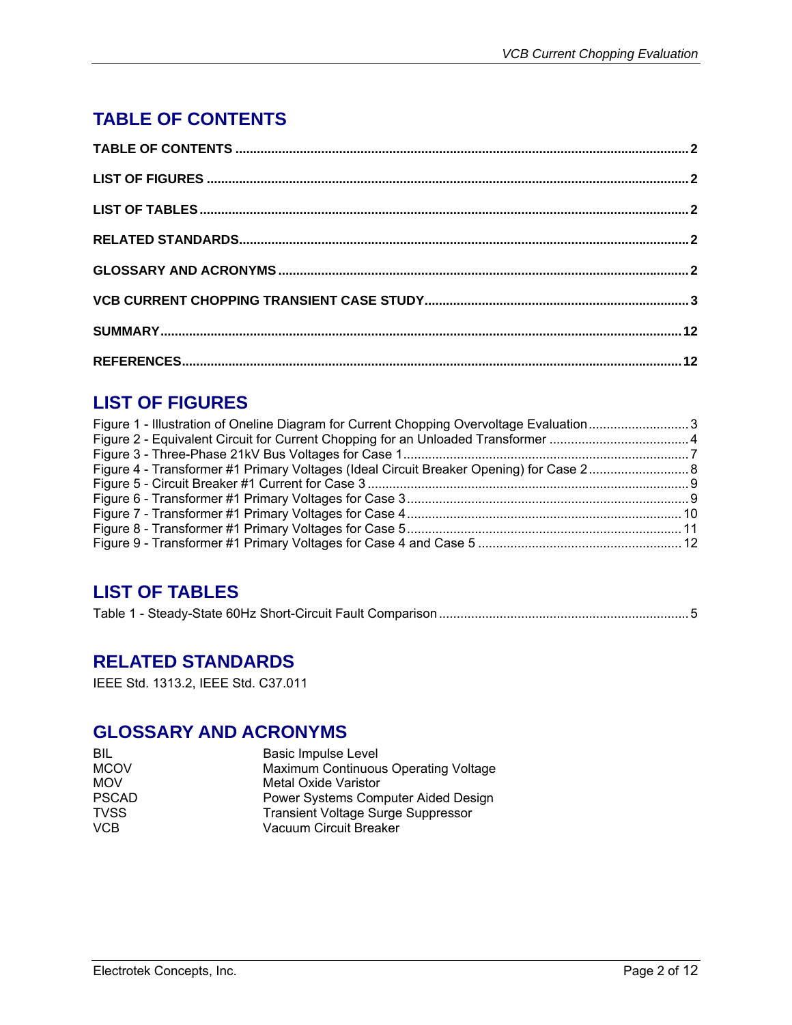## **TABLE OF CONTENTS**

## **LIST OF FIGURES**

| Figure 1 - Illustration of Oneline Diagram for Current Chopping Overvoltage Evaluation3 |  |
|-----------------------------------------------------------------------------------------|--|
|                                                                                         |  |
|                                                                                         |  |
|                                                                                         |  |
|                                                                                         |  |
|                                                                                         |  |
|                                                                                         |  |
|                                                                                         |  |
|                                                                                         |  |
|                                                                                         |  |

### **LIST OF TABLES**

|--|--|--|

#### **RELATED STANDARDS**

IEEE Std. 1313.2, IEEE Std. C37.011

### **GLOSSARY AND ACRONYMS**

| BIL          | <b>Basic Impulse Level</b>                |
|--------------|-------------------------------------------|
| <b>MCOV</b>  | Maximum Continuous Operating Voltage      |
| <b>MOV</b>   | Metal Oxide Varistor                      |
| <b>PSCAD</b> | Power Systems Computer Aided Design       |
| <b>TVSS</b>  | <b>Transient Voltage Surge Suppressor</b> |
| <b>VCB</b>   | Vacuum Circuit Breaker                    |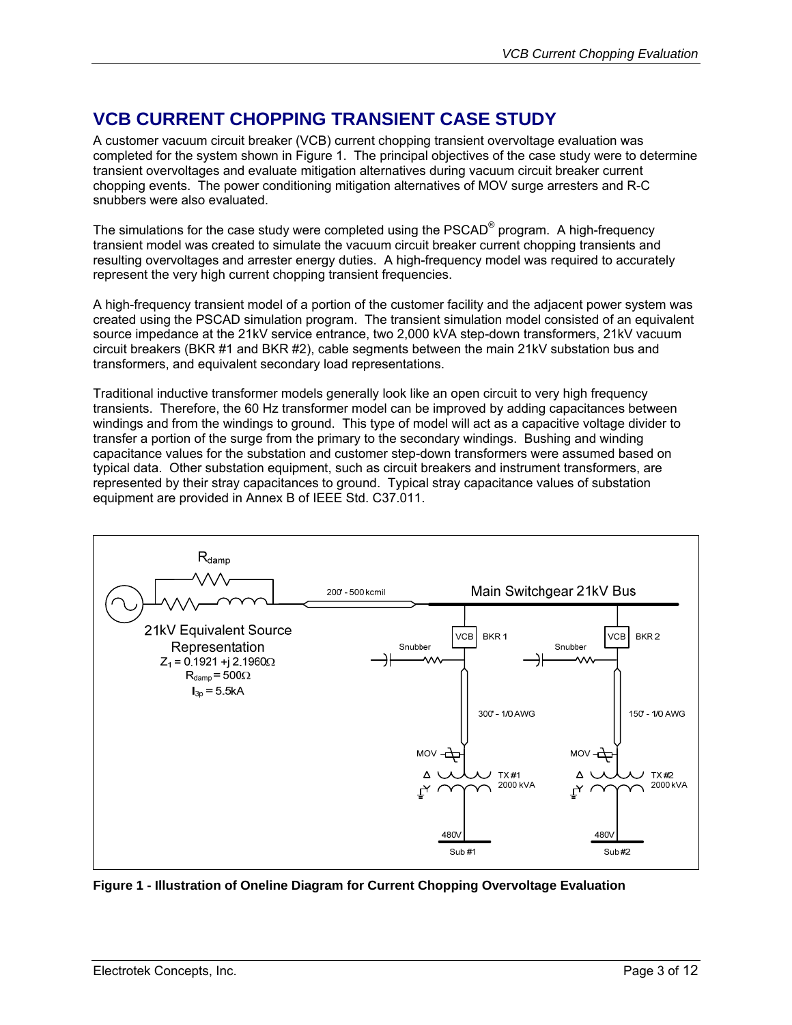## **VCB CURRENT CHOPPING TRANSIENT CASE STUDY**

A customer vacuum circuit breaker (VCB) current chopping transient overvoltage evaluation was completed for the system shown in Figure 1. The principal objectives of the case study were to determine transient overvoltages and evaluate mitigation alternatives during vacuum circuit breaker current chopping events. The power conditioning mitigation alternatives of MOV surge arresters and R-C snubbers were also evaluated.

The simulations for the case study were completed using the PSCAD<sup>®</sup> program. A high-frequency transient model was created to simulate the vacuum circuit breaker current chopping transients and resulting overvoltages and arrester energy duties. A high-frequency model was required to accurately represent the very high current chopping transient frequencies.

A high-frequency transient model of a portion of the customer facility and the adjacent power system was created using the PSCAD simulation program. The transient simulation model consisted of an equivalent source impedance at the 21kV service entrance, two 2,000 kVA step-down transformers, 21kV vacuum circuit breakers (BKR #1 and BKR #2), cable segments between the main 21kV substation bus and transformers, and equivalent secondary load representations.

Traditional inductive transformer models generally look like an open circuit to very high frequency transients. Therefore, the 60 Hz transformer model can be improved by adding capacitances between windings and from the windings to ground. This type of model will act as a capacitive voltage divider to transfer a portion of the surge from the primary to the secondary windings. Bushing and winding capacitance values for the substation and customer step-down transformers were assumed based on typical data. Other substation equipment, such as circuit breakers and instrument transformers, are represented by their stray capacitances to ground. Typical stray capacitance values of substation equipment are provided in Annex B of IEEE Std. C37.011.



**Figure 1 - Illustration of Oneline Diagram for Current Chopping Overvoltage Evaluation**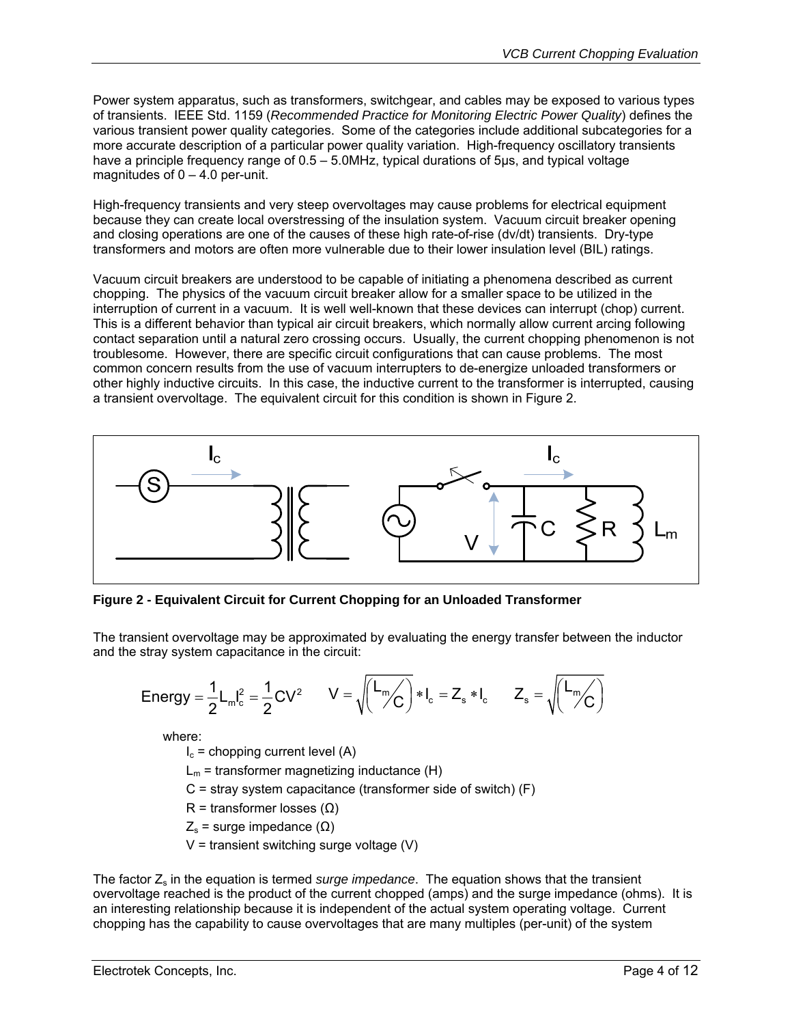Power system apparatus, such as transformers, switchgear, and cables may be exposed to various types of transients. IEEE Std. 1159 (*Recommended Practice for Monitoring Electric Power Quality*) defines the various transient power quality categories. Some of the categories include additional subcategories for a more accurate description of a particular power quality variation. High-frequency oscillatory transients have a principle frequency range of 0.5 – 5.0MHz, typical durations of 5µs, and typical voltage magnitudes of  $0 - 4.0$  per-unit.

High-frequency transients and very steep overvoltages may cause problems for electrical equipment because they can create local overstressing of the insulation system. Vacuum circuit breaker opening and closing operations are one of the causes of these high rate-of-rise (dv/dt) transients. Dry-type transformers and motors are often more vulnerable due to their lower insulation level (BIL) ratings.

Vacuum circuit breakers are understood to be capable of initiating a phenomena described as current chopping. The physics of the vacuum circuit breaker allow for a smaller space to be utilized in the interruption of current in a vacuum. It is well well-known that these devices can interrupt (chop) current. This is a different behavior than typical air circuit breakers, which normally allow current arcing following contact separation until a natural zero crossing occurs. Usually, the current chopping phenomenon is not troublesome. However, there are specific circuit configurations that can cause problems. The most common concern results from the use of vacuum interrupters to de-energize unloaded transformers or other highly inductive circuits. In this case, the inductive current to the transformer is interrupted, causing a transient overvoltage. The equivalent circuit for this condition is shown in Figure 2.



**Figure 2 - Equivalent Circuit for Current Chopping for an Unloaded Transformer** 

The transient overvoltage may be approximated by evaluating the energy transfer between the inductor and the stray system capacitance in the circuit:

$$
\text{Energy} = \frac{1}{2} L_m l_c^2 = \frac{1}{2} C V^2 \qquad V = \sqrt{\left(\frac{L_m}{C}\right)^2 * l_c} = Z_s * l_c \qquad Z_s = \sqrt{\left(\frac{L_m}{C}\right)^2}
$$

where:

 $I_c$  = chopping current level (A)

 $L_m$  = transformer magnetizing inductance (H)

 $C =$  stray system capacitance (transformer side of switch)  $(F)$ 

R = transformer losses  $(\Omega)$ 

 $Z<sub>s</sub>$  = surge impedance ( $\Omega$ )

 $V =$  transient switching surge voltage  $(V)$ 

The factor Z<sub>s</sub> in the equation is termed *surge impedance*. The equation shows that the transient overvoltage reached is the product of the current chopped (amps) and the surge impedance (ohms). It is an interesting relationship because it is independent of the actual system operating voltage. Current chopping has the capability to cause overvoltages that are many multiples (per-unit) of the system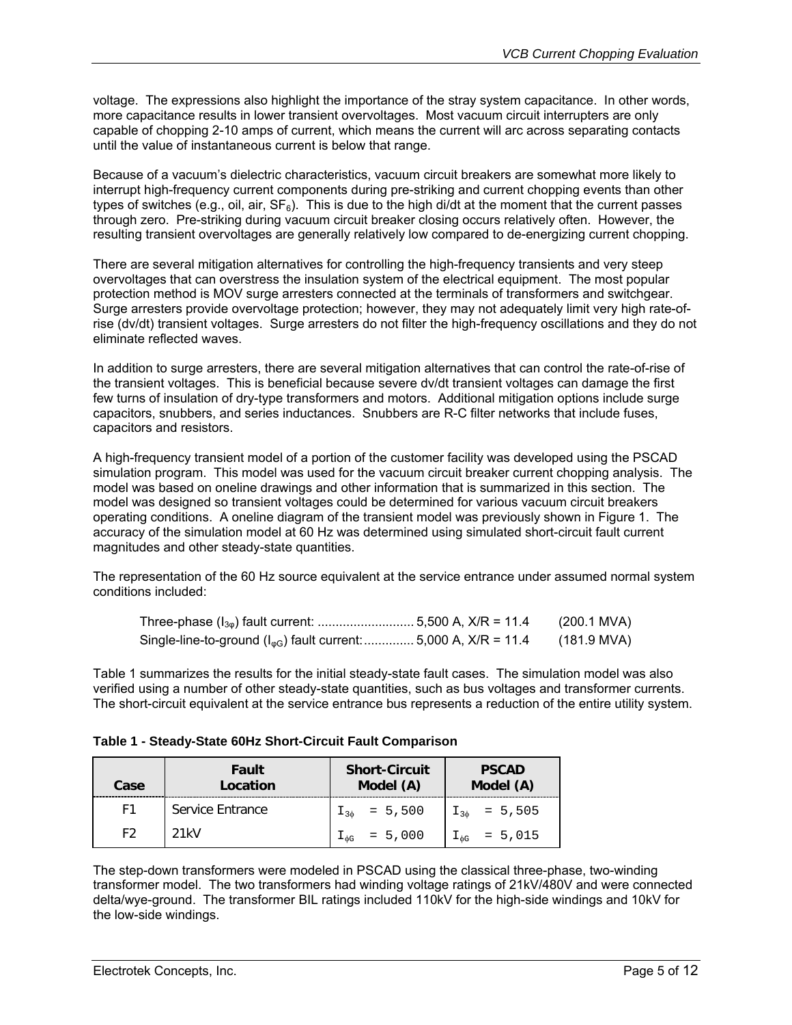voltage. The expressions also highlight the importance of the stray system capacitance. In other words, more capacitance results in lower transient overvoltages. Most vacuum circuit interrupters are only capable of chopping 2-10 amps of current, which means the current will arc across separating contacts until the value of instantaneous current is below that range.

Because of a vacuum's dielectric characteristics, vacuum circuit breakers are somewhat more likely to interrupt high-frequency current components during pre-striking and current chopping events than other types of switches (e.g., oil, air,  $SF_6$ ). This is due to the high di/dt at the moment that the current passes through zero. Pre-striking during vacuum circuit breaker closing occurs relatively often. However, the resulting transient overvoltages are generally relatively low compared to de-energizing current chopping.

There are several mitigation alternatives for controlling the high-frequency transients and very steep overvoltages that can overstress the insulation system of the electrical equipment. The most popular protection method is MOV surge arresters connected at the terminals of transformers and switchgear. Surge arresters provide overvoltage protection; however, they may not adequately limit very high rate-ofrise (dv/dt) transient voltages. Surge arresters do not filter the high-frequency oscillations and they do not eliminate reflected waves.

In addition to surge arresters, there are several mitigation alternatives that can control the rate-of-rise of the transient voltages. This is beneficial because severe dv/dt transient voltages can damage the first few turns of insulation of dry-type transformers and motors. Additional mitigation options include surge capacitors, snubbers, and series inductances. Snubbers are R-C filter networks that include fuses, capacitors and resistors.

A high-frequency transient model of a portion of the customer facility was developed using the PSCAD simulation program. This model was used for the vacuum circuit breaker current chopping analysis. The model was based on oneline drawings and other information that is summarized in this section. The model was designed so transient voltages could be determined for various vacuum circuit breakers operating conditions. A oneline diagram of the transient model was previously shown in Figure 1. The accuracy of the simulation model at 60 Hz was determined using simulated short-circuit fault current magnitudes and other steady-state quantities.

The representation of the 60 Hz source equivalent at the service entrance under assumed normal system conditions included:

|                                                                            | (200.1 MVA) |
|----------------------------------------------------------------------------|-------------|
| Single-line-to-ground ( $I_{\phi G}$ ) fault current:  5,000 A, X/R = 11.4 | (181.9 MVA) |

Table 1 summarizes the results for the initial steady-state fault cases. The simulation model was also verified using a number of other steady-state quantities, such as bus voltages and transformer currents. The short-circuit equivalent at the service entrance bus represents a reduction of the entire utility system.

| Table 1 - Steady-State 60Hz Short-Circuit Fault Comparison |
|------------------------------------------------------------|
|------------------------------------------------------------|

| Case | Fault<br>Location | <b>Short-Circuit</b><br>Model (A) | <b>PSCAD</b><br>Model (A) |
|------|-------------------|-----------------------------------|---------------------------|
| F1   | Service Entrance  | $I_{30}$ = 5,500                  | $I_{3\phi}$ = 5,505       |
| F2   | 21kV              | $I_{\phi G}$ = 5,000              | $I_{\phi G}$ = 5,015      |

The step-down transformers were modeled in PSCAD using the classical three-phase, two-winding transformer model. The two transformers had winding voltage ratings of 21kV/480V and were connected delta/wye-ground. The transformer BIL ratings included 110kV for the high-side windings and 10kV for the low-side windings.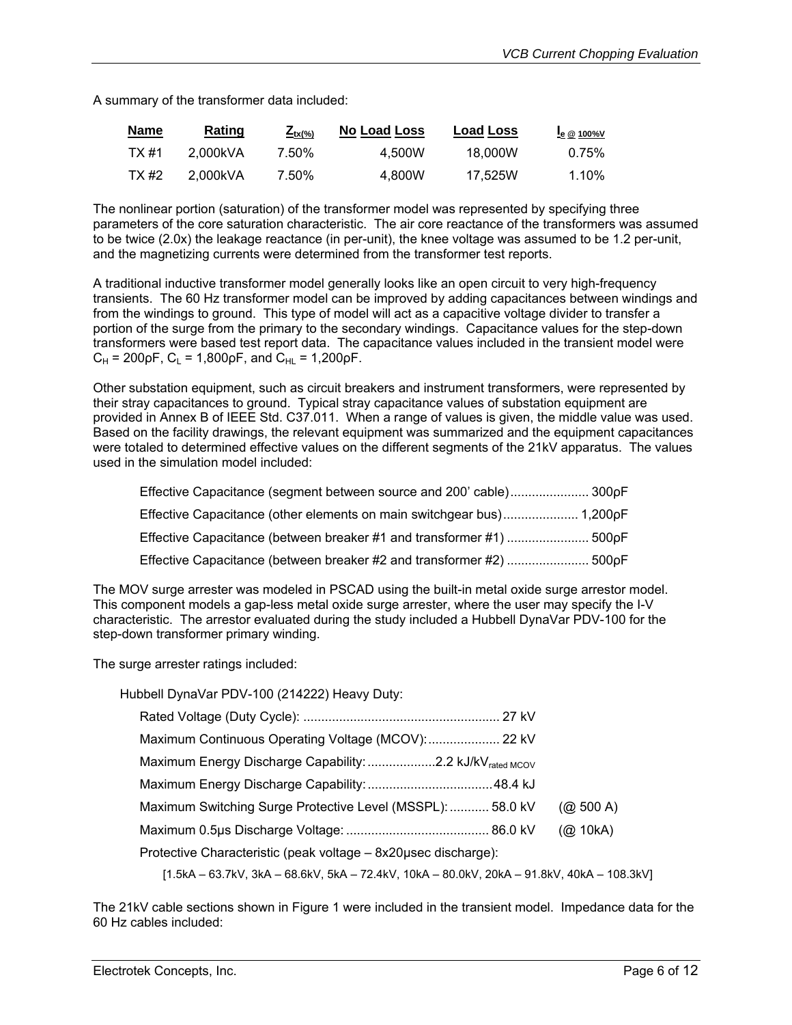A summary of the transformer data included:

| <b>Name</b> | <b>Rating</b> | $\mathcal{L}_{\text{tx}(\%)}$ | <b>No Load Loss</b> | <b>Load Loss</b> | $I_e \otimes 100\%$ V |
|-------------|---------------|-------------------------------|---------------------|------------------|-----------------------|
| TX #1       | 2.000kVA      | 7.50%                         | 4.500W              | 18.000W          | 0.75%                 |
| TX #2       | 2.000kVA      | 7.50%                         | 4.800W              | 17.525W          | 1.10%                 |

The nonlinear portion (saturation) of the transformer model was represented by specifying three parameters of the core saturation characteristic. The air core reactance of the transformers was assumed to be twice (2.0x) the leakage reactance (in per-unit), the knee voltage was assumed to be 1.2 per-unit, and the magnetizing currents were determined from the transformer test reports.

A traditional inductive transformer model generally looks like an open circuit to very high-frequency transients. The 60 Hz transformer model can be improved by adding capacitances between windings and from the windings to ground. This type of model will act as a capacitive voltage divider to transfer a portion of the surge from the primary to the secondary windings. Capacitance values for the step-down transformers were based test report data. The capacitance values included in the transient model were  $C_H$  = 200 $pF$ ,  $C_L$  = 1,800 $pF$ , and  $C_{HL}$  = 1,200 $pF$ .

Other substation equipment, such as circuit breakers and instrument transformers, were represented by their stray capacitances to ground. Typical stray capacitance values of substation equipment are provided in Annex B of IEEE Std. C37.011. When a range of values is given, the middle value was used. Based on the facility drawings, the relevant equipment was summarized and the equipment capacitances were totaled to determined effective values on the different segments of the 21kV apparatus. The values used in the simulation model included:

| Effective Capacitance (segment between source and 200' cable) 300pF   |  |
|-----------------------------------------------------------------------|--|
| Effective Capacitance (other elements on main switchgear bus) 1,200pF |  |
| Effective Capacitance (between breaker #1 and transformer #1)  500pF  |  |
| Effective Capacitance (between breaker #2 and transformer #2)  500pF  |  |

The MOV surge arrester was modeled in PSCAD using the built-in metal oxide surge arrestor model. This component models a gap-less metal oxide surge arrester, where the user may specify the I-V characteristic. The arrestor evaluated during the study included a Hubbell DynaVar PDV-100 for the step-down transformer primary winding.

The surge arrester ratings included:

| Hubbell DynaVar PDV-100 (214222) Heavy Duty:                                               |               |
|--------------------------------------------------------------------------------------------|---------------|
|                                                                                            |               |
|                                                                                            |               |
| Maximum Energy Discharge Capability: 2.2 kJ/kV <sub>rated MCOV</sub>                       |               |
|                                                                                            |               |
| Maximum Switching Surge Protective Level (MSSPL):  58.0 kV                                 | $(Q_0 500 A)$ |
|                                                                                            | (Q2 10kA)     |
| Protective Characteristic (peak voltage - 8x20usec discharge):                             |               |
| [1.5kA – 63.7kV, 3kA – 68.6kV, 5kA – 72.4kV, 10kA – 80.0kV, 20kA – 91.8kV, 40kA – 108.3kV] |               |

The 21kV cable sections shown in Figure 1 were included in the transient model. Impedance data for the 60 Hz cables included: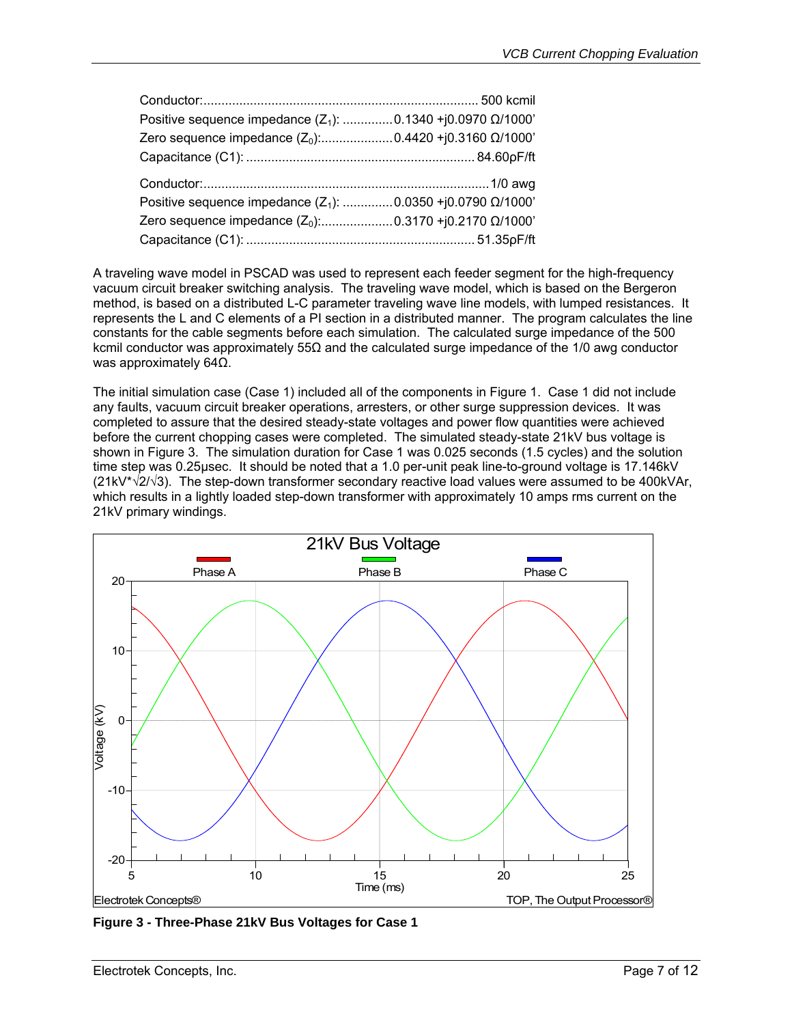| Positive sequence impedance $(Z_1)$ :  0.1340 +j0.0970 $\Omega/1000$ |  |
|----------------------------------------------------------------------|--|
| Zero sequence impedance $(Z_0)$ :0.4420 +j0.3160 $\Omega/1000$       |  |
|                                                                      |  |
|                                                                      |  |
|                                                                      |  |
| Positive sequence impedance $(Z_1)$ :  0.0350 +j0.0790 $\Omega/1000$ |  |
|                                                                      |  |

A traveling wave model in PSCAD was used to represent each feeder segment for the high-frequency vacuum circuit breaker switching analysis. The traveling wave model, which is based on the Bergeron method, is based on a distributed L-C parameter traveling wave line models, with lumped resistances. It represents the L and C elements of a PI section in a distributed manner. The program calculates the line constants for the cable segments before each simulation. The calculated surge impedance of the 500 kcmil conductor was approximately 55Ω and the calculated surge impedance of the 1/0 awg conductor was approximately 64Ω.

The initial simulation case (Case 1) included all of the components in Figure 1. Case 1 did not include any faults, vacuum circuit breaker operations, arresters, or other surge suppression devices. It was completed to assure that the desired steady-state voltages and power flow quantities were achieved before the current chopping cases were completed. The simulated steady-state 21kV bus voltage is shown in Figure 3. The simulation duration for Case 1 was 0.025 seconds (1.5 cycles) and the solution time step was 0.25µsec. It should be noted that a 1.0 per-unit peak line-to-ground voltage is 17.146kV  $(21kV^{\dagger}\sqrt{21\sqrt{3}})$ . The step-down transformer secondary reactive load values were assumed to be 400kVAr, which results in a lightly loaded step-down transformer with approximately 10 amps rms current on the 21kV primary windings.



**Figure 3 - Three-Phase 21kV Bus Voltages for Case 1**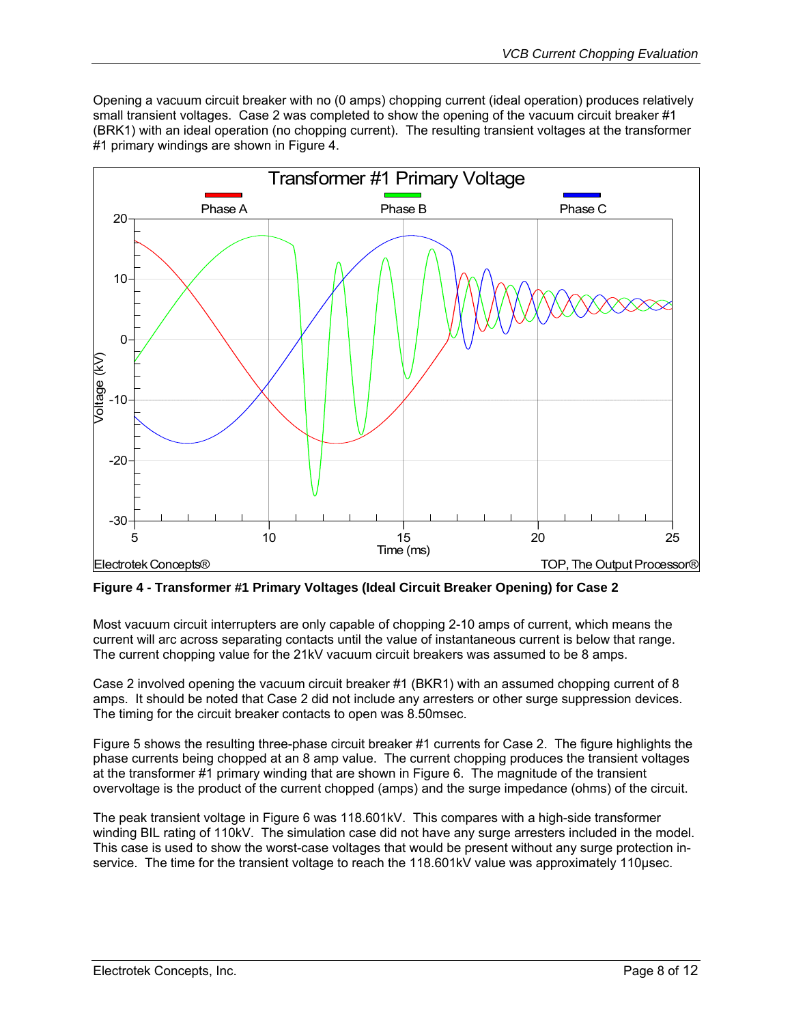Opening a vacuum circuit breaker with no (0 amps) chopping current (ideal operation) produces relatively small transient voltages. Case 2 was completed to show the opening of the vacuum circuit breaker #1 (BRK1) with an ideal operation (no chopping current). The resulting transient voltages at the transformer #1 primary windings are shown in Figure 4.



**Figure 4 - Transformer #1 Primary Voltages (Ideal Circuit Breaker Opening) for Case 2** 

Most vacuum circuit interrupters are only capable of chopping 2-10 amps of current, which means the current will arc across separating contacts until the value of instantaneous current is below that range. The current chopping value for the 21kV vacuum circuit breakers was assumed to be 8 amps.

Case 2 involved opening the vacuum circuit breaker #1 (BKR1) with an assumed chopping current of 8 amps. It should be noted that Case 2 did not include any arresters or other surge suppression devices. The timing for the circuit breaker contacts to open was 8.50msec.

Figure 5 shows the resulting three-phase circuit breaker #1 currents for Case 2. The figure highlights the phase currents being chopped at an 8 amp value. The current chopping produces the transient voltages at the transformer #1 primary winding that are shown in Figure 6. The magnitude of the transient overvoltage is the product of the current chopped (amps) and the surge impedance (ohms) of the circuit.

The peak transient voltage in Figure 6 was 118.601kV. This compares with a high-side transformer winding BIL rating of 110kV. The simulation case did not have any surge arresters included in the model. This case is used to show the worst-case voltages that would be present without any surge protection inservice. The time for the transient voltage to reach the 118.601kV value was approximately 110µsec.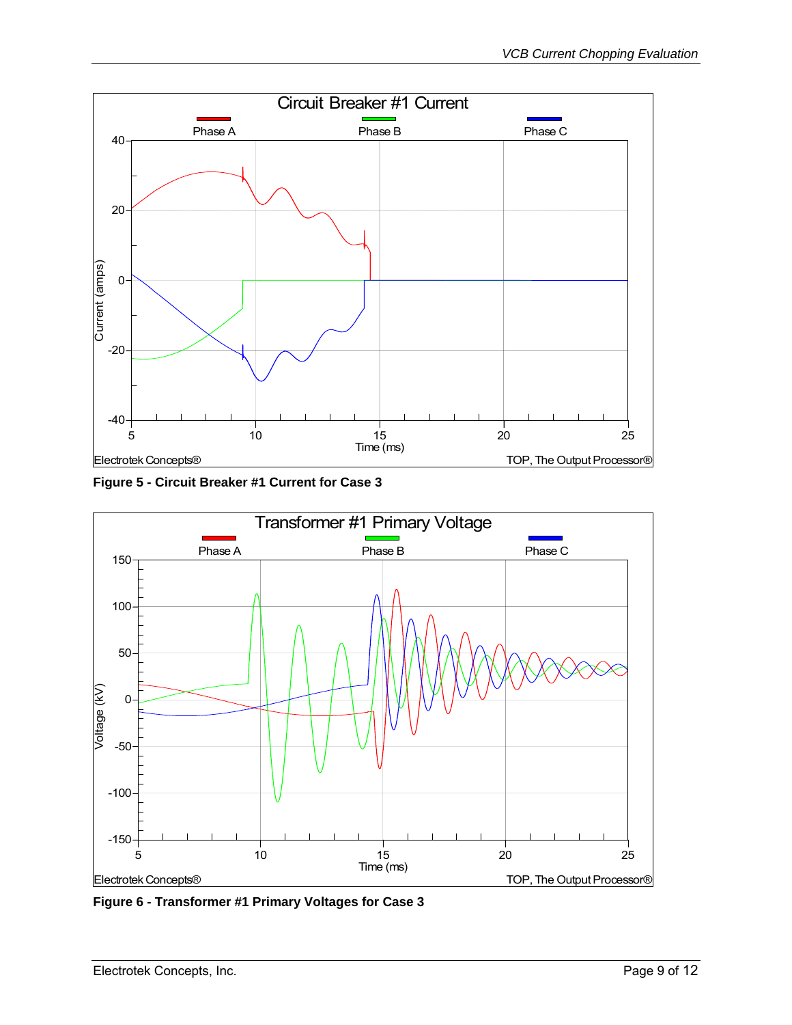

**Figure 5 - Circuit Breaker #1 Current for Case 3** 



**Figure 6 - Transformer #1 Primary Voltages for Case 3**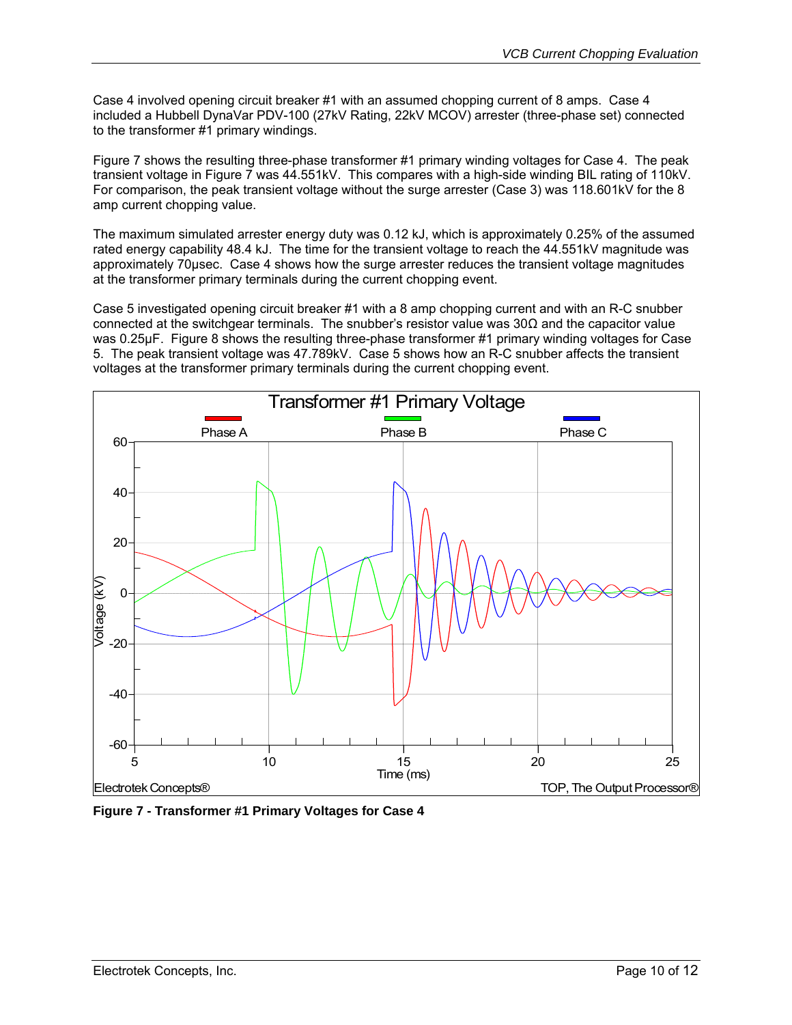Case 4 involved opening circuit breaker #1 with an assumed chopping current of 8 amps. Case 4 included a Hubbell DynaVar PDV-100 (27kV Rating, 22kV MCOV) arrester (three-phase set) connected to the transformer #1 primary windings.

Figure 7 shows the resulting three-phase transformer #1 primary winding voltages for Case 4. The peak transient voltage in Figure 7 was 44.551kV. This compares with a high-side winding BIL rating of 110kV. For comparison, the peak transient voltage without the surge arrester (Case 3) was 118.601kV for the 8 amp current chopping value.

The maximum simulated arrester energy duty was 0.12 kJ, which is approximately 0.25% of the assumed rated energy capability 48.4 kJ. The time for the transient voltage to reach the 44.551kV magnitude was approximately 70µsec. Case 4 shows how the surge arrester reduces the transient voltage magnitudes at the transformer primary terminals during the current chopping event.

Case 5 investigated opening circuit breaker #1 with a 8 amp chopping current and with an R-C snubber connected at the switchgear terminals. The snubber's resistor value was 30Ω and the capacitor value was 0.25µF. Figure 8 shows the resulting three-phase transformer #1 primary winding voltages for Case 5. The peak transient voltage was 47.789kV. Case 5 shows how an R-C snubber affects the transient voltages at the transformer primary terminals during the current chopping event.



**Figure 7 - Transformer #1 Primary Voltages for Case 4**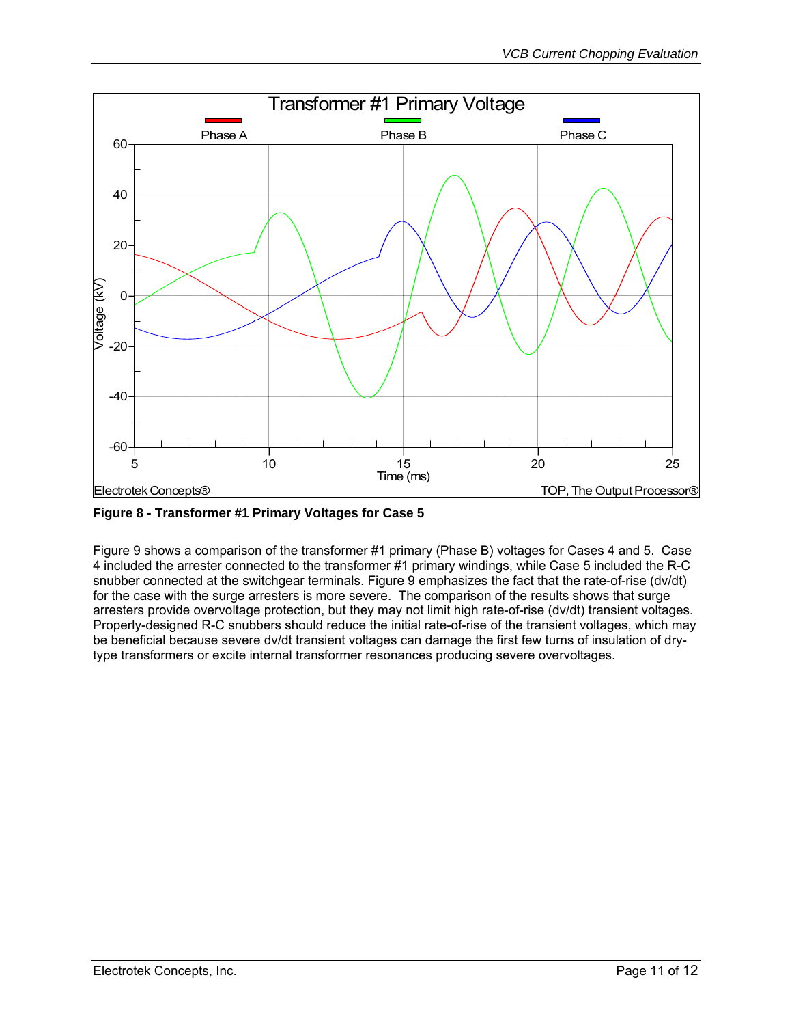

**Figure 8 - Transformer #1 Primary Voltages for Case 5** 

Figure 9 shows a comparison of the transformer #1 primary (Phase B) voltages for Cases 4 and 5. Case 4 included the arrester connected to the transformer #1 primary windings, while Case 5 included the R-C snubber connected at the switchgear terminals. Figure 9 emphasizes the fact that the rate-of-rise (dv/dt) for the case with the surge arresters is more severe. The comparison of the results shows that surge arresters provide overvoltage protection, but they may not limit high rate-of-rise (dv/dt) transient voltages. Properly-designed R-C snubbers should reduce the initial rate-of-rise of the transient voltages, which may be beneficial because severe dv/dt transient voltages can damage the first few turns of insulation of drytype transformers or excite internal transformer resonances producing severe overvoltages.